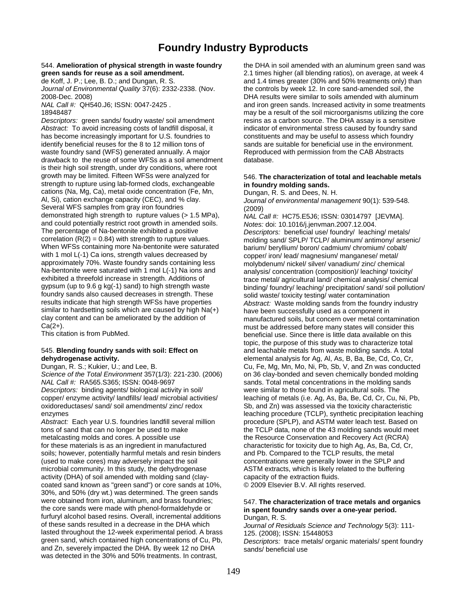## **Foundry Industry Byproducts**

*Descriptors:* green sands/ foudry waste/ soil amendment resins as a carbon source. The DHA assay is a sensitive Abstract: To avoid increasing costs of landfill disposal, it indicator of environmental stress caused by foundry sand has become increasingly important for U.S. foundries to constituents and may be useful to assess which foundry identify beneficial reuses for the 8 to 12 million tons of sands are suitable for beneficial use in the environment. waste foundry sand (WFS) generated annually. A major Reproduced with permission from the CAB Abstracts drawback to the reuse of some WFSs as a soil amendment database. is their high soil strength, under dry conditions, where root growth may be limited. Fifteen WFSs were analyzed for 546. **The characterization of total and leachable metals**  strength to rupture using lab-formed clods, exchangeable **in foundry molding sands.**  cations (Na, Mg, Ca), metal oxide concentration (Fe, Mn, Dungan, R. S. and Dees, N. H.<br>Al. Si), cation exchange capacity (CEC), and % clay, *Durnal of environmental mana* Several WFS samples from gray iron foundries (2009)<br>demonstrated high strength to rupture values (> 1.5 MPa),  $MAU$ and could potentially restrict root growth in amended soils. The percentage of Na-bentonite exhibited a positive The percentage of Na-bentonite exhibited a positive *Descriptors:* beneficial use/ foundry/ leaching/ metals/<br>
correlation (R(2) = 0.84) with strength to rupture values. molding sand/ SPL P/ TCL P/ aluminum/ antimony/ arse correlation (R(2) = 0.84) with strength to rupture values. molding sand/ SPLP/ TCLP/ aluminum/ antimony/ arsenic/<br>When WFSs containing more Na-bentonite were saturated barium/ beryllium/ boron/ cadmium/ chromium/ cobalt/ When WFSs containing more Na-bentonite were saturated barium/ beryllium/ boron/ cadmium/ chromium/ cobalt/<br>with 1 mol L(-1) Ca ions, strength values decreased by example opper/ iron/ lead/ magnesium/ manganese/ metal/ with 1 mol L(-1) Ca ions, strength values decreased by example opper/ iron/ lead/ magnesium/ manganese/ metal/<br>copproximately 70%. Waste foundry sands containing less examply holybdenum/ nickel/ silver/ vanadium/ zinc/ che approximately 70%. Waste foundry sands containing less molybdenum/ nickel/ silver/ vanadium/ zinc/ chemical<br>Na-bentonite were saturated with 1 mol L(-1) Na ions and analysis/ concentration (composition)/ leaching/ toxicit Na-bentonite were saturated with 1 mol L(-1) Na ions and analysis/ concentration (composition)/ leaching/ toxicity/<br>exhibited a threefold increase in strength. Additions of the analysis/ entertal/ agricultural land/ chemic foundry sands also caused decreases in strength. These solid waste/ toxicity testing/ water contamination<br>results indicate that high strength WFSs have properties *Abstract:* Waste molding sands from the foundry results indicate that high strength WFSs have properties *Abstract:* Waste molding sands from the foundry industry<br>similar to hardsetting soils which are caused by high Na(+) have been successfully used as a component in similar to hardsetting soils which are caused by high Na(+) have been successfully used as a component in clay content and can be ameliorated by the addition of manufactured soils, but concern over metal content clay content and can be ameliorated by the addition of manufactured soils, but concern over metal contamination<br>Ca(2+).

*Descriptors:* binding agents/ biological activity in soil/ were similar to those found in agricultural soils. The

enzymes **leaching procedure (TCLP)**, synthetic precipitation leaching *Abstract:* Each year U.S. foundries landfill several million procedure (SPLP), and ASTM water leach test. Based on tons of sand that can no longer be used to make the TCLP data, none of the 43 molding sands would meet metalcasting molds and cores. A possible use the Resource Conservation and Recovery Act (RCRA) for these materials is as an ingredient in manufactured characteristic for toxicity due to high Ag, As, Ba, Cd, Cr, soils; however, potentially harmful metals and resin binders and Pb. Compared to the TCLP results, the metal (used to make cores) may adversely impact the soil concentrations were generally lower in the SPLP and microbial community. In this study, the dehydrogenase ASTM extracts, which is likely related to the buffering activity (DHA) of soil amended with molding sand (clay- capacity of the extraction fluids. coated sand known as "green sand") or core sands at 10%, © 2009 Elsevier B.V. All rights reserved. 30%, and 50% (dry wt.) was determined. The green sands were obtained from iron, aluminum, and brass foundries; 547. **The characterization of trace metals and organics**<br>
the core sands were made with phenol-formaldehyde or **in spent foundry sands over a one-vear period**. furfuryl alcohol based resins. Overall, incremental additions Dungan, R. S.<br>of these sands resulted in a decrease in the DHA which Journal of Res lasted throughout the 12-week experimental period. A brass 125. (2008); ISSN: 15448053<br>green sand, which contained high concentrations of Cu, Pb, Descriptors: trace metals/ org and Zn, severely impacted the DHA. By week 12 no DHA sands/ beneficial use was detected in the 30% and 50% treatments. In contrast,

544. **Amelioration of physical strength in waste foundry** the DHA in soil amended with an aluminum green sand was **green sands for reuse as a soil amendment.** 2.1 times higher (all blending ratios), on average, at week 4 de Koff, J. P.; Lee, B. D.; and Dungan, R. S. and the stand 1.4 times greater (30% and 50% treatments only) than *Journal of Environmental Quality* 37(6): 2332-2338. (Nov. the controls by week 12. In core sand-amended soil, the 2008-Dec. 2008) DHA results were similar to soils amended with aluminum *NAL Call #:* QH540.J6; ISSN: 0047-2425 . and iron green sands. Increased activity in some treatments 18948487 may be a result of the soil microorganisms utilizing the core

Journal of environmental management 90(1): 539-548.

NAL Call #: HC75.E5J6; ISSN: 03014797 [JEVMA].<br>*Notes:* doi: 10.1016/j.jenvman.2007.12.004. trace metal/ agricultural land/ chemical analysis/ chemical gypsum (up to 9.6 g kg(-1) sand) to high strength waste binding/ foundry/ leaching/ precipitation/ sand/ soil pollution/ Ca(2+).<br>This citation is from PubMed. This citation is from PubMed. This citation is from PubMed. beneficial use. Since there is little data available on this topic, the purpose of this study was to characterize total 545. **Blending foundry sands with soil: Effect on** and leachable metals from waste molding sands. A total **dehydrogenase activity.** elemental analysis for Ag, Al, As, B, Ba, Be, Cd, Co, Cr, Dungan, R. S.; Kukier, U.; and Lee, B. Cu, Fe, Mg, Mn, Mo, Ni, Pb, Sb, V, and Zn was conducted *Science of the Total Environment* 357(1/3): 221-230. (2006) on 36 clay-bonded and seven chemically bonded molding *NAL Call #:* RA565.S365; ISSN: 0048-9697 sands. Total metal concentrations in the molding sands copper/ enzyme activity/ landfills/ lead/ microbial activities/ leaching of metals (i.e. Ag, As, Ba, Be, Cd, Cr, Cu, Ni, Pb, oxidoreductases/ sand/ soil amendments/ zinc/ redox Sb, and Zn) was assessed via the toxicity characteristic

## in spent foundry sands over a one-year period.

Journal of Residuals Science and Technology 5(3): 111-

Descriptors: trace metals/ organic materials/ spent foundry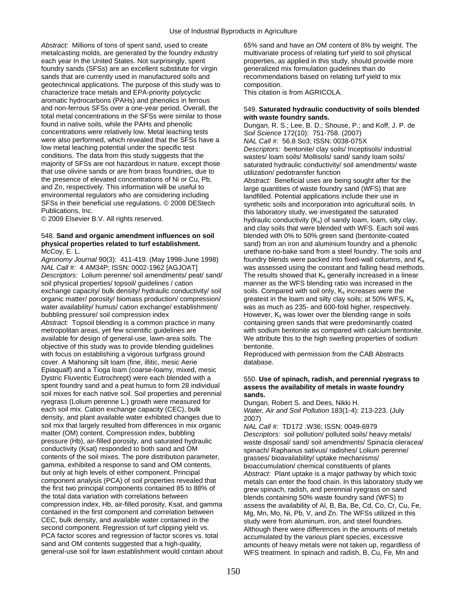Abstract: Millions of tons of spent sand, used to create 65% sand and have an OM content of 8% by weight. The metalcasting molds, are generated by the foundry industry multivariate process of relating turf yield to soil physical each year In the United States. Not surprisingly, spent properties, as applied in this study, should provide more foundry sands (SFSs) are an excellent substitute for virgin generalized mix formulation guidelines than do sands that are currently used in manufactured soils and recommendations based on relating turf yield to mix geotechnical applications. The purpose of this study was to composition. characterize trace metals and EPA-priority polycyclic This citation is from AGRICOLA. aromatic hydrocarbons (PAHs) and phenolics in ferrous and non-ferrous SFSs over a one-year period. Overall, the 549. **Saturated hydraulic conductivity of soils blended**  total metal concentrations in the SFSs were similar to those **with waste foundry sands.**  concentrations were relatively low. Metal leaching tests *Soil Science* 172(10): 751-758. (2007) were also performed, which revealed that the SFSs have a *NAL Call #:*  56.8 So3; ISSN: 0038-075X<br>low metal leaching potential under the specific test *Descriptors:* bentonite/ clay soils/ Incepti low metal leaching potential under the specific test *Descriptors:* bentonite/ clay soils/ Inceptisols/ industrial conditions. The data from this study suggests that the wastes/ loam soils/ Mollisols/ sand/ sandy loam soils/<br>majority of SFSs are not hazardous in nature, except those saturated by draulic conductivity/ soil amendments/ that use olivine sands or are from brass foundries, due to utilization/ pedotransfer function<br>the presence of elevated concentrations of Ni or Cu, Pb, a abstract: Beneficial uses are be the presence of elevated concentrations of Ni or Cu, Pb, *Abstract:* Beneficial uses are being sought after for the and Zn, respectively. This information will be useful to large quantities of waste foundry sand (WFS) that are<br>
environmental regulators who are considering including and landfilled. Potential applications include their us environmental regulators who are considering including landfilled. Potential applications include their use in<br>SFSs in their beneficial use regulations. © 2008 DEStech synthetic soils and incorporation into agricultural so SFSs in their beneficial use regulations. © 2008 DEStech synthetic soils and incorporation into agricultural soils. In<br>Publications, Inc. external solis under the saturated the saturated

# 548. **Sand and organic amendment influences on soil** blended with 0% to 50% green sand (bentonite-coated

Agronomy Journal 90(3): 411-419. (May 1998-June 1998) foundry blends were packed into fixed-wall columns, and K<sub>s</sub> *NAL Call #:* 4 AM34P; ISSN: 0002-1962 [AGJOAT] was assessed using the constant and falling head methods. *Descriptors:* Lolium perenne/ soil amendments/ peat/ sand/ The results showed that K<sub>s</sub> generally increased in a linear soil physical properties/ topsoil/ guidelines / cation manner as the WFS blending ratio was increased exchange capacity/ bulk density/ hydraulic conductivity/ soil soils. Compared with soil only,  $K_s$  increases were the organic matter/ porosity/ biomass production/ compression/ greatest in the loam and silty clay soils; at 50% WFS, K<sub>s</sub> water availability/ humus/ cation exchange/ establishment/ was as much as 235- and 600-fold higher, respectively. bubbling pressure/ soil compression index However, K<sub>s</sub> was lower over the blending range in soils<br>Abstract: Topsoil blending is a common practice in many containing green sands that were predominantly coated *Abstract:* Topsoil blending is a common practice in many metropolitan areas, yet few scientific guidelines are with sodium bentonite as compared with calcium bentonite. available for design of general-use, lawn-area soils. The We attribute this to the high swelling properties of sodium objective of this study was to provide blending guidelines bentonite. with focus on establishing a vigorous turfgrass ground Reproduced with permission from the CAB Abstracts cover. A Mahoning silt loam (fine, illitic, mesic Aerie database. Epiaqualf) and a Tioga loam (coarse-loamy, mixed, mesic Dystric Fluventic Eutrochrept) were each blended with a 550. **Use of spinach, radish, and perennial ryegrass to**  spent foundry sand and a peat humus to form 28 individual **assess the availability of metals in waste foundry**  soil mixes for each native soil. Soil properties and perennial sands. ryegrass (Lolium perenne L.) growth were measured for Dungan, Robert S. and Dees, Nikki H.<br>
each soil mix. Cation exchange capacity (CEC), bulk Water. Air and Soil Pollution 183(1-4): density, and plant available water exhibited changes due to 2007) soil mix that largely resulted from differences in mix organic *NAL Call #:* TD172 .W36; ISSN: 0049-6979 matter (OM) content. Compression index, bubbling *Descriptors:* soil pollution/ polluted soils/ heavy metals/<br>pressure (Hb), air-filled porosity, and saturated hydraulic waste disposal/ sand/ soil amendments/ Spinacia oler pressure (Hb), air-filled porosity, and saturated hydraulic waste disposal/ sand/ soil amendments/ Spinacia oleracea/<br>conductivity (Ksat) responded to both sand and OM spinach/ Raphanus sativus/ radishes/ Lolium perenne/ contents of the soil mixes. The pore distribution parameter, exhibition parameter, contents of the gramma, exhibited a response to sand and OM contents, bioaccumulation/ chemical constituents of pla gamma, exhibited a response to sand and OM contents, bioaccumulation/ chemical constituents of plants<br>but only at high levels of either component. Principal and a abstract: Plant uptake is a major pathway by wh but only at high levels of either component. Principal *Abstract:* Plant uptake is a major pathway by which toxic component analysis (PCA) of soil properties revealed that metals can enter the food chain. In this laboratory study we<br>the first two principal components contained 85 to 88% of a rew spinach radish and perennial ryegrass o the first two principal components contained 85 to 88% of grew spinach, radish, and perennial ryegrass on sand<br>the total data variation with correlations between blends containing 50% waste foundry sand (WFS) to compression index, Hb, air-filled porosity, Ksat, and gamma assess the availability of Al, B, Ba, Be, Cd, Co, Cr, Cu, Fe, contained in the first component and correlation between Mg, Mn, Mo, Ni, Pb, V, and Zn. The WFSs utilized in this CEC, bulk density, and available water contained in the study were from aluminum, iron, and steel foundries.<br>Second component. Regression of turf clipping yield vs.<br>Although there were differences in the amounts of me second component. Regression of turf clipping yield vs. Although there were differences in the amounts of metals<br>PCA factor scores and regression of factor scores vs. total accumulated by the various plant species, excessi PCA factor scores and regression of factor scores vs. total accumulated by the various plant species, excessive<br>sand and OM contents suggested that a high-quality, same amounts of heavy metals were not taken up, regardle sand and OM contents suggested that a high-quality, samounts of heavy metals were not taken up, regardless of<br>Samounts of heavy metal and that were not the same of the same of taken up, regardless of the Most of the Most

Dungan, R. S.; Lee, B. D.; Shouse, P.; and Koff, J. P. de saturated hydraulic conductivity/ soil amendments/ waste Publications, Inc.<br>
© 2009 Elsevier B.V. All rights reserved.<br>
this laboratory study, we investigated the saturated the saturated the saturated the saturated the saturated hydraulic conductivity  $(K_s)$  of sandy loam, loam, silty clay, and clay soils that were blended with WFS. Each soil was **physical properties related to turf establishment.** sand) from an iron and aluminium foundry and a phenolic McCoy, E. L. U. urethane no-bake sand from a steel foundry. The soils and manner as the WFS blending ratio was increased in the

Water, Air and Soil Pollution 183(1-4): 213-223. (July

spinach/ Raphanus sativus/ radishes/ Lolium perenne/ blends containing 50% waste foundry sand (WFS) to WFS treatment. In spinach and radish, B, Cu, Fe, Mn and